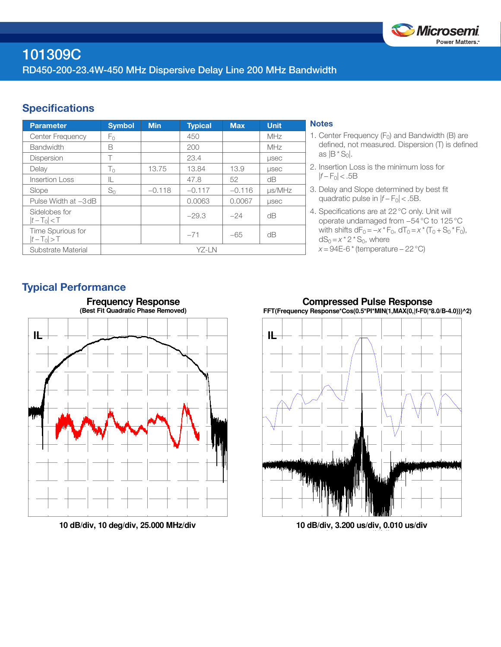

# 101309C RD450-200-23.4W-450 MHz Dispersive Delay Line 200 MHz Bandwidth

## **Specifications**

| <b>Parameter</b>                 | <b>Symbol</b> | <b>Min</b> | <b>Typical</b> | <b>Max</b> | <b>Unit</b>  |
|----------------------------------|---------------|------------|----------------|------------|--------------|
| <b>Center Frequency</b>          | Fο            |            | 450            |            | <b>MHz</b>   |
| <b>Bandwidth</b>                 | B             |            | 200            |            | MHz          |
| <b>Dispersion</b>                | Т             |            | 23.4           |            | <b>LISEC</b> |
| Delay                            | $T_0$         | 13.75      | 13.84          | 13.9       | <b>LISEC</b> |
| Insertion Loss                   | IL            |            | 47.8           | 52         | dB           |
| Slope                            | $S_0$         | $-0.118$   | $-0.117$       | $-0.116$   | $\mu$ s/MHz  |
| Pulse Width at -3 dB             |               |            | 0.0063         | 0.0067     | <b>LISEC</b> |
| Sidelobes for<br>$ t-T_0  < T$   |               |            | $-29.3$        | $-24$      | dΒ           |
| Time Spurious for<br>$ t-T_0 >T$ |               |            | $-71$          | $-65$      | dΒ           |
| Substrate Material               | YZ-LN         |            |                |            |              |

#### **Notes**

- 1. Center Frequency  $(F_0)$  and Bandwidth (B) are defined, not measured. Dispersion (T) is defined as  $|B * S_0|$ .
- 2. Insertion Loss is the minimum loss for |*f* − F0| < .5B
- 3. Delay and Slope determined by best fit quadratic pulse in  $|f - F_0|$  < .5B.
- 4. Specifications are at 22°C only. Unit will operate undamaged from −54°C to 125°C with shifts  $dF_0 = -x * F_0$ ,  $dT_0 = x * (T_0 + S_0 * F_0)$ ,  $dS_0 = x^* 2^* S_0$ , where *x* = 94E-6 \* (temperature – 22 °C)

### Typical Performance



**10 dB/div, 10 deg/div, 25.000 MHz/div**





**10 dB/div, 3.200 us/div, 0.010 us/div**